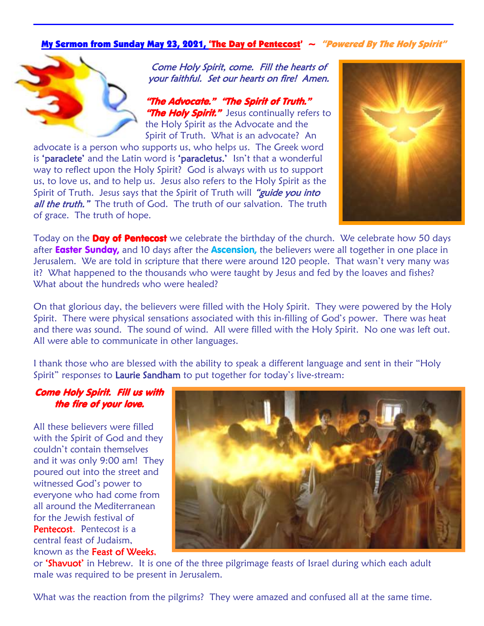## My Sermon from Sunday May 23, 2021, 'The Day of Pentecost'  $\sim$  "Powered By The Holy Spirit"



Come Holy Spirit, come. Fill the hearts of your faithful. Set our hearts on fire! Amen.

"The Advocate." "The Spirit of Truth." "The Holy Spirit." Jesus continually refers to the Holy Spirit as the Advocate and the Spirit of Truth. What is an advocate? An

advocate is a person who supports us, who helps us. The Greek word is 'paraclete' and the Latin word is 'paracletus.' Isn't that a wonderful way to reflect upon the Holy Spirit? God is always with us to support us, to love us, and to help us. Jesus also refers to the Holy Spirit as the Spirit of Truth. Jesus says that the Spirit of Truth will "guide you into all the truth." The truth of God. The truth of our salvation. The truth of grace. The truth of hope.



Today on the **Day of Pentecost** we celebrate the birthday of the church. We celebrate how 50 days after **Easter Sunday**, and 10 days after the **Ascension**, the believers were all together in one place in Jerusalem. We are told in scripture that there were around 120 people. That wasn't very many was it? What happened to the thousands who were taught by Jesus and fed by the loaves and fishes? What about the hundreds who were healed?

On that glorious day, the believers were filled with the Holy Spirit. They were powered by the Holy Spirit. There were physical sensations associated with this in-filling of God's power. There was heat and there was sound. The sound of wind. All were filled with the Holy Spirit. No one was left out. All were able to communicate in other languages.

I thank those who are blessed with the ability to speak a different language and sent in their "Holy Spirit" responses to Laurie Sandham to put together for today's live-stream:

## Come Holy Spirit. Fill us with the fire of your love.

All these believers were filled with the Spirit of God and they couldn't contain themselves and it was only 9:00 am! They poured out into the street and witnessed God's power to everyone who had come from all around the Mediterranean for the Jewish festival of Pentecost. Pentecost is a central feast of Judaism, known as the Feast of Weeks,



or **'Shavuot'** in Hebrew. It is one of the three pilgrimage feasts of Israel during which each adult male was required to be present in Jerusalem.

What was the reaction from the pilgrims? They were amazed and confused all at the same time.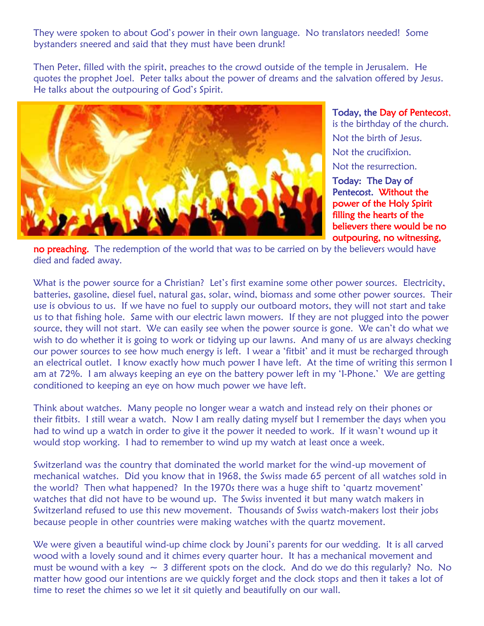They were spoken to about God's power in their own language. No translators needed! Some bystanders sneered and said that they must have been drunk!

Then Peter, filled with the spirit, preaches to the crowd outside of the temple in Jerusalem. He quotes the prophet Joel. Peter talks about the power of dreams and the salvation offered by Jesus. He talks about the outpouring of God's Spirit.



Today, the Day of Pentecost, is the birthday of the church. Not the birth of Jesus. Not the crucifixion. Not the resurrection.

Today: The Day of Pentecost. Without the power of the Holy Spirit filling the hearts of the believers there would be no outpouring, no witnessing,

no preaching. The redemption of the world that was to be carried on by the believers would have died and faded away.

What is the power source for a Christian? Let's first examine some other power sources. Electricity, batteries, gasoline, diesel fuel, natural gas, solar, wind, biomass and some other power sources. Their use is obvious to us. If we have no fuel to supply our outboard motors, they will not start and take us to that fishing hole. Same with our electric lawn mowers. If they are not plugged into the power source, they will not start. We can easily see when the power source is gone. We can't do what we wish to do whether it is going to work or tidying up our lawns. And many of us are always checking our power sources to see how much energy is left. I wear a 'fitbit' and it must be recharged through an electrical outlet. I know exactly how much power I have left. At the time of writing this sermon I am at 72%. I am always keeping an eye on the battery power left in my 'I-Phone.' We are getting conditioned to keeping an eye on how much power we have left.

Think about watches. Many people no longer wear a watch and instead rely on their phones or their fitbits. I still wear a watch. Now I am really dating myself but I remember the days when you had to wind up a watch in order to give it the power it needed to work. If it wasn't wound up it would stop working. I had to remember to wind up my watch at least once a week.

Switzerland was the country that dominated the world market for the wind-up movement of mechanical watches. Did you know that in 1968, the Swiss made 65 percent of all watches sold in the world? Then what happened? In the 1970s there was a huge shift to 'quartz movement' watches that did not have to be wound up. The Swiss invented it but many watch makers in Switzerland refused to use this new movement. Thousands of Swiss watch-makers lost their jobs because people in other countries were making watches with the quartz movement.

We were given a beautiful wind-up chime clock by Jouni's parents for our wedding. It is all carved wood with a lovely sound and it chimes every quarter hour. It has a mechanical movement and must be wound with a key  $\sim$  3 different spots on the clock. And do we do this regularly? No. No matter how good our intentions are we quickly forget and the clock stops and then it takes a lot of time to reset the chimes so we let it sit quietly and beautifully on our wall.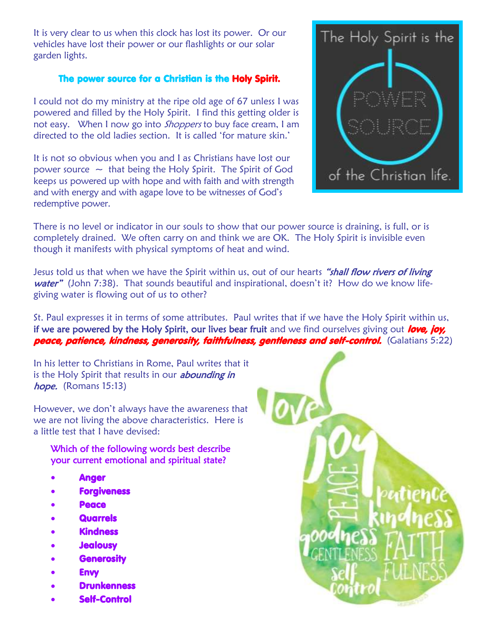It is very clear to us when this clock has lost its power. Or our vehicles have lost their power or our flashlights or our solar garden lights.

## The power source for a Christian is the Holy Spirit.

I could not do my ministry at the ripe old age of 67 unless I was powered and filled by the Holy Spirit. I find this getting older is not easy. When I now go into *Shoppers* to buy face cream, I am directed to the old ladies section. It is called 'for mature skin.'

It is not so obvious when you and I as Christians have lost our power source  $\sim$  that being the Holy Spirit. The Spirit of God keeps us powered up with hope and with faith and with strength and with energy and with agape love to be witnesses of God's redemptive power.



There is no level or indicator in our souls to show that our power source is draining, is full, or is completely drained. We often carry on and think we are OK. The Holy Spirit is invisible even though it manifests with physical symptoms of heat and wind.

Jesus told us that when we have the Spirit within us, out of our hearts "shall flow rivers of living water" (John 7:38). That sounds beautiful and inspirational, doesn't it? How do we know lifegiving water is flowing out of us to other?

St. Paul expresses it in terms of some attributes. Paul writes that if we have the Holy Spirit within us, if we are powered by the Holy Spirit, our lives bear fruit and we find ourselves giving out love, joy, peace, patience, kindness, generosity, faithfulness, gentleness and self-control. (Galatians 5:22)

In his letter to Christians in Rome, Paul writes that it is the Holy Spirit that results in our *abounding in* hope. (Romans 15:13)

However, we don't always have the awareness that we are not living the above characteristics. Here is a little test that I have devised:

Which of the following words best describe your current emotional and spiritual state?

- Anger
- **Forgiveness**
- Peace
- Quarrels
- Kindness
- **Jealousy**
- **Generosity**
- Envy
- Drunkenness
- Self-Control